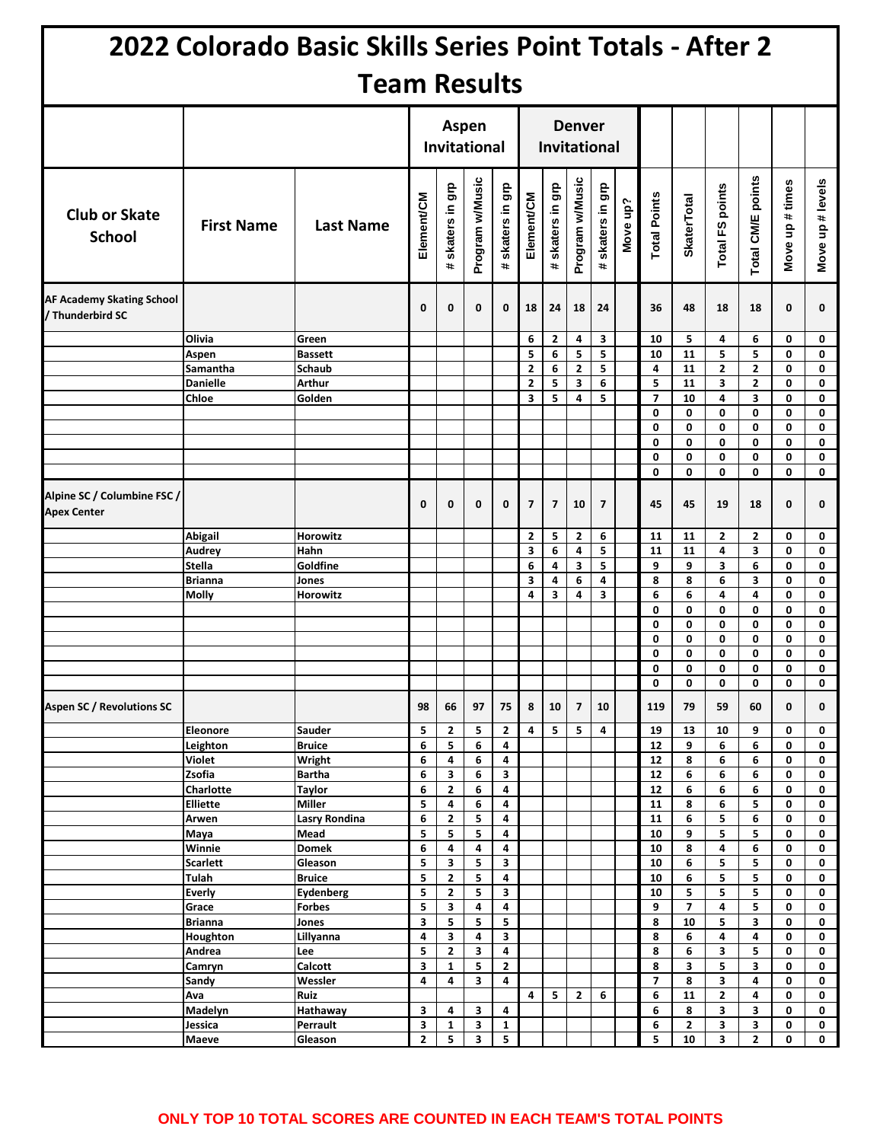|                                                      |                         | 2022 Colorado Basic Skills Series Point Totals - After 2 |              |                                     |                 |                                        |                |                                        |                         |                               |          |                     |                         |                 |                   |                 |                  |
|------------------------------------------------------|-------------------------|----------------------------------------------------------|--------------|-------------------------------------|-----------------|----------------------------------------|----------------|----------------------------------------|-------------------------|-------------------------------|----------|---------------------|-------------------------|-----------------|-------------------|-----------------|------------------|
|                                                      |                         | <b>Team Results</b>                                      |              |                                     |                 |                                        |                |                                        |                         |                               |          |                     |                         |                 |                   |                 |                  |
|                                                      |                         |                                                          |              | <b>Aspen</b><br><b>Invitational</b> |                 | <b>Denver</b><br><b>Invitational</b>   |                |                                        |                         |                               |          |                     |                         |                 |                   |                 |                  |
| <b>Club or Skate</b><br><b>School</b>                | <b>First Name</b>       | <b>Last Name</b>                                         | Element/CM   | skaters in grp<br>$\pm$             | Program w/Music | skaters in grp<br>$\ddot{\phantom{a}}$ | Element/CM     | skaters in grp<br>$\ddot{\phantom{1}}$ | Program w/Music         | ទូ<br>skaters in<br>$\ddot{}$ | Move up? | <b>Total Points</b> | <b>SkaterTotal</b>      | Total FS points | Total CM/E points | Move up # times | Move up # levels |
| <b>AF Academy Skating School</b><br>/ Thunderbird SC |                         |                                                          | 0            | 0                                   | 0               | $\mathbf 0$                            | 18             | 24                                     | 18                      | 24                            |          | 36                  | 48                      | 18              | 18                | 0               | 0                |
|                                                      | Olivia                  | Green                                                    |              |                                     |                 |                                        | 6              | 2                                      | 4                       | 3                             |          | 10                  | 5                       | 4               | 6                 | 0               | 0                |
|                                                      | Aspen                   | <b>Bassett</b>                                           |              |                                     |                 |                                        | 5              | 6                                      | 5                       | 5                             |          | 10                  | 11                      | 5               | 5                 | 0               | 0                |
|                                                      | Samantha                | Schaub                                                   |              |                                     |                 |                                        | $\mathbf{2}$   | 6                                      | $\mathbf{2}$            | 5                             |          | 4                   | 11                      | 2               | $\overline{2}$    | 0               | 0                |
|                                                      | <b>Danielle</b>         | Arthur                                                   |              |                                     |                 |                                        | $\mathbf{2}$   | 5                                      | 3                       | 6                             |          | 5                   | 11                      | 3               | 2                 | 0               | 0                |
|                                                      | Chloe                   | Golden                                                   |              |                                     |                 |                                        | 3              | 5                                      | 4                       | 5                             |          | $\overline{7}$      | 10                      | 4               | 3                 | 0               | 0                |
|                                                      |                         |                                                          |              |                                     |                 |                                        |                |                                        |                         |                               |          | 0                   | 0                       | 0               | 0                 | 0               | 0                |
|                                                      |                         |                                                          |              |                                     |                 |                                        |                |                                        |                         |                               |          | 0<br>0              | 0<br>0                  | 0<br>0          | 0<br>0            | 0<br>0          | 0<br>0           |
|                                                      |                         |                                                          |              |                                     |                 |                                        |                |                                        |                         |                               |          | 0                   | 0                       | 0               | 0                 | 0               | 0                |
|                                                      |                         |                                                          |              |                                     |                 |                                        |                |                                        |                         |                               |          | 0                   | 0                       | 0               | 0                 | 0               | 0                |
| Alpine SC / Columbine FSC /<br><b>Apex Center</b>    |                         |                                                          | 0            | 0                                   | 0               | 0                                      | $\overline{7}$ | $\overline{7}$                         | 10                      | $\overline{7}$                |          | 45                  | 45                      | 19              | 18                | 0               | 0                |
|                                                      | Abigail                 | Horowitz                                                 |              |                                     |                 |                                        | 2              | 5                                      | $\overline{2}$          | 6                             |          | 11                  | 11                      | $\mathbf{2}$    | $\overline{2}$    | 0               | 0                |
|                                                      | Audrey                  | Hahn                                                     |              |                                     |                 |                                        | 3              | 6                                      | 4                       | 5                             |          | 11                  | 11                      | 4               | 3                 | 0               | 0                |
|                                                      | Stella                  | Goldfine                                                 |              |                                     |                 |                                        | 6              | 4                                      | 3                       | 5                             |          | 9                   | 9                       | 3               | 6                 | 0               | 0                |
|                                                      | Brianna                 | Jones<br>Horowitz                                        |              |                                     |                 |                                        | 3<br>4         | 4<br>3                                 | 6<br>4                  | 4<br>3                        |          | 8<br>6              | 8<br>6                  | 6<br>4          | 3<br>4            | 0<br>0          | 0<br>0           |
|                                                      | Molly                   |                                                          |              |                                     |                 |                                        |                |                                        |                         |                               |          | 0                   | 0                       | 0               | 0                 | 0               | 0                |
|                                                      |                         |                                                          |              |                                     |                 |                                        |                |                                        |                         |                               |          | 0                   | 0                       | 0               | 0                 | 0               | 0                |
|                                                      |                         |                                                          |              |                                     |                 |                                        |                |                                        |                         |                               |          | 0                   | 0                       | 0               | 0                 | 0               | 0                |
|                                                      |                         |                                                          |              |                                     |                 |                                        |                |                                        |                         |                               |          | 0                   | 0                       | 0               | 0                 | 0               | 0                |
|                                                      |                         |                                                          |              |                                     |                 |                                        |                |                                        |                         |                               |          | $\Omega$            | 0                       | 0               | 0                 | 0               | $\mathbf 0$      |
|                                                      |                         |                                                          |              |                                     |                 |                                        |                |                                        |                         |                               |          | 0                   | 0                       | 0               | 0                 | 0               | 0                |
| <b>Aspen SC / Revolutions SC</b>                     |                         |                                                          | 98           | 66                                  | 97              | 75                                     | 8              | 10                                     | $\overline{\mathbf{z}}$ | 10                            |          | 119                 | 79                      | 59              | 60                | 0               | 0                |
|                                                      | <b>Eleonore</b>         | Sauder                                                   | 5            | 2                                   | 5               | $\overline{\mathbf{2}}$                | 4              | 5                                      | 5                       | 4                             |          | 19                  | 13                      | 10              | 9                 | 0               | 0                |
|                                                      | Leighton                | <b>Bruice</b>                                            | 6            | 5                                   | 6               | 4                                      |                |                                        |                         |                               |          | 12                  | 9                       | 6               | 6                 | 0               | 0                |
|                                                      | <b>Violet</b><br>Zsofia | Wright<br><b>Bartha</b>                                  | 6<br>6       | 4<br>3                              | 6<br>6          | 4<br>3                                 |                |                                        |                         |                               |          | 12<br>12            | 8<br>6                  | 6<br>6          | 6<br>6            | 0<br>0          | 0<br>0           |
|                                                      | Charlotte               | <b>Taylor</b>                                            | 6            | $\mathbf{2}$                        | 6               | 4                                      |                |                                        |                         |                               |          | 12                  | 6                       | 6               | 6                 | 0               | 0                |
|                                                      | <b>Elliette</b>         | <b>Miller</b>                                            | 5            | 4                                   | 6               | 4                                      |                |                                        |                         |                               |          | 11                  | 8                       | 6               | 5                 | 0               | 0                |
|                                                      | Arwen                   | <b>Lasry Rondina</b>                                     | 6            | $\mathbf{2}$                        | 5               | 4                                      |                |                                        |                         |                               |          | 11                  | 6                       | 5               | 6                 | 0               | 0                |
|                                                      | Maya                    | Mead                                                     | 5            | 5                                   | 5               | 4                                      |                |                                        |                         |                               |          | ${\bf 10}$          | 9                       | 5               | 5                 | 0               | 0                |
|                                                      | Winnie                  | <b>Domek</b>                                             | 6            | 4                                   | 4               | 4                                      |                |                                        |                         |                               |          | 10                  | 8                       | 4               | 6                 | 0               | 0                |
|                                                      | <b>Scarlett</b>         | Gleason                                                  | 5            | 3                                   | 5               | 3                                      |                |                                        |                         |                               |          | 10                  | 6                       | 5               | 5                 | 0               | 0                |
|                                                      | Tulah                   | <b>Bruice</b>                                            | 5            | $\mathbf{2}$                        | 5               | 4                                      |                |                                        |                         |                               |          | ${\bf 10}$          | 6                       | 5               | 5                 | 0               | 0                |
|                                                      | <b>Everly</b>           | <b>Eydenberg</b>                                         | 5            | $\overline{2}$                      | 5               | 3                                      |                |                                        |                         |                               |          | 10                  | 5                       | 5               | 5                 | 0               | 0                |
|                                                      | Grace                   | <b>Forbes</b>                                            | 5            | 3                                   | 4               | 4                                      |                |                                        |                         |                               |          | 9                   | $\overline{\mathbf{z}}$ | 4               | 5                 | 0               | 0                |
|                                                      | Brianna                 | Jones                                                    | 3            | 5                                   | 5               | 5                                      |                |                                        |                         |                               |          | 8                   | 10                      | 5               | 3                 | 0               | 0                |
|                                                      | Houghton                | Lillyanna                                                | 4            | 3                                   | 4               | 3<br>4                                 |                |                                        |                         |                               |          | 8                   | 6                       | 4               | 4                 | 0               | 0                |
|                                                      | Andrea<br>Camryn        | Lee<br>Calcott                                           | 5<br>3       | $\mathbf{2}$<br>$\mathbf{1}$        | 3<br>5          | $\mathbf{2}$                           |                |                                        |                         |                               |          | 8                   | 6<br>3                  | 3<br>5          | 5<br>3            | 0               | 0<br>0           |
|                                                      | Sandy                   | Wessler                                                  | 4            | 4                                   | 3               | 4                                      |                |                                        |                         |                               |          | 8<br>$\overline{7}$ | 8                       | 3               | 4                 | 0<br>0          | 0                |
|                                                      | Ava                     | Ruiz                                                     |              |                                     |                 |                                        | 4              | 5                                      | $\overline{\mathbf{c}}$ | 6                             |          | 6                   | 11                      | $\mathbf{2}$    | 4                 | 0               | 0                |
|                                                      | Madelyn                 | Hathaway                                                 | 3            | 4                                   | 3               | 4                                      |                |                                        |                         |                               |          | 6                   | 8                       | 3               | 3                 | 0               | 0                |
|                                                      | Jessica                 | Perrault                                                 | 3            | 1                                   | 3               | 1                                      |                |                                        |                         |                               |          | 6                   | 2                       | 3               | 3                 | 0               | 0                |
|                                                      | <b>Maeve</b>            | Gleason                                                  | $\mathbf{2}$ | 5                                   | 3               | 5                                      |                |                                        |                         |                               |          | 5                   | 10                      | 3               | $\mathbf{2}$      | 0               | 0                |

## **ONLY TOP 10 TOTAL SCORES ARE COUNTED IN EACH TEAM'S TOTAL POINTS**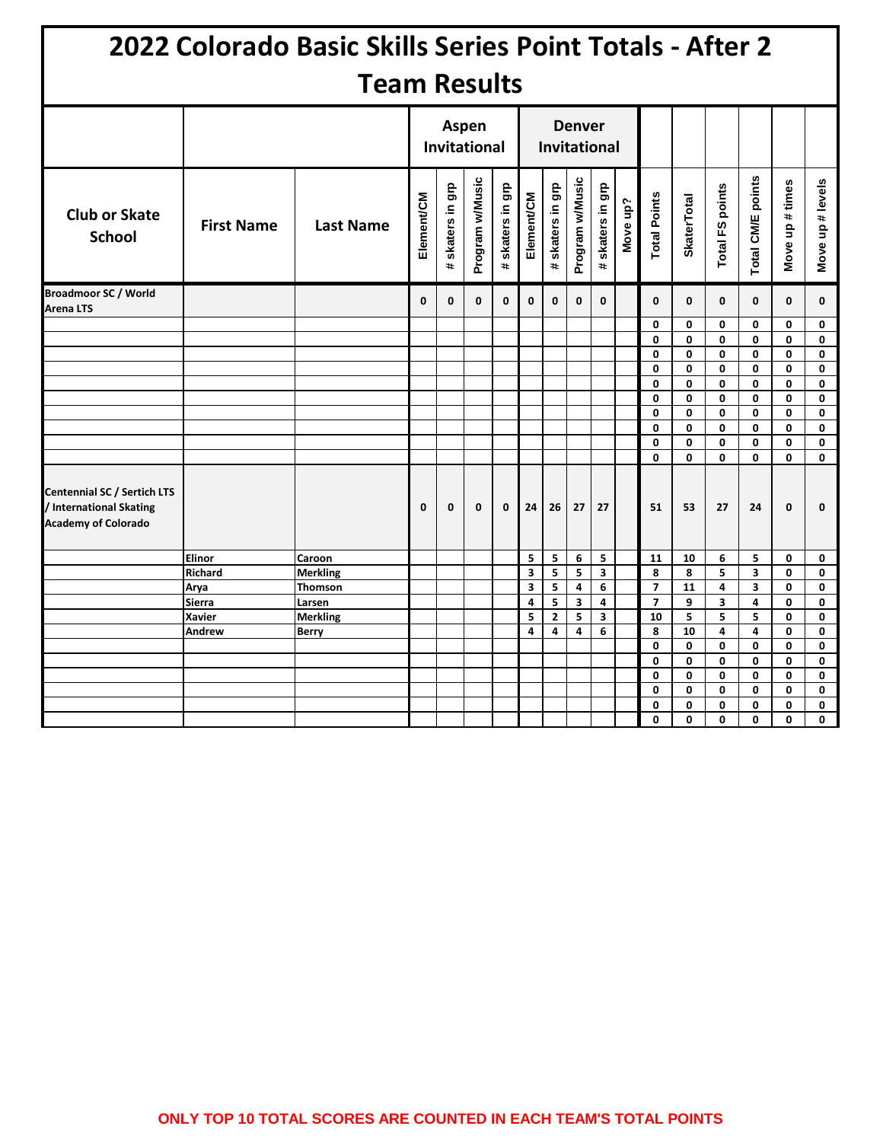|                                                                                             |                     | 2022 Colorado Basic Skills Series Point Totals - After 2 |            |                                        |                 |                  |                     |                  |                 |                                    |          |                                            |                    |                 |                   |                 |                  |
|---------------------------------------------------------------------------------------------|---------------------|----------------------------------------------------------|------------|----------------------------------------|-----------------|------------------|---------------------|------------------|-----------------|------------------------------------|----------|--------------------------------------------|--------------------|-----------------|-------------------|-----------------|------------------|
|                                                                                             | <b>Team Results</b> |                                                          |            |                                        |                 |                  |                     |                  |                 |                                    |          |                                            |                    |                 |                   |                 |                  |
|                                                                                             |                     |                                                          | Aspen      | <b>Invitational</b>                    |                 |                  | <b>Invitational</b> | <b>Denver</b>    |                 |                                    |          |                                            |                    |                 |                   |                 |                  |
| <b>Club or Skate</b><br><b>School</b>                                                       | <b>First Name</b>   | <b>Last Name</b>                                         | Element/CM | skaters in grp<br>$\ddot{\phantom{a}}$ | Program w/Music | # skaters in grp | Element/CM          | # skaters in grp | Program w/Music | g<br>10<br>skaters in<br>$\ddot{}$ | Move up? | <b>Total Points</b>                        | <b>SkaterTotal</b> | Total FS points | Total CM/E points | Move up # times | Move up # levels |
| <b>Broadmoor SC / World</b><br><b>Arena LTS</b>                                             |                     |                                                          | 0          | $\mathbf{0}$                           | $\mathbf{0}$    | $\mathbf{0}$     | $\mathbf{0}$        | $\mathbf{0}$     | $\mathbf{0}$    | $\mathbf{0}$                       |          | $\mathbf{0}$                               | $\mathbf{0}$       | $\mathbf{0}$    | $\mathbf{0}$      | 0               | 0                |
|                                                                                             |                     |                                                          |            |                                        |                 |                  |                     |                  |                 |                                    |          | 0                                          | 0                  | 0               | 0                 | 0               | 0                |
|                                                                                             |                     |                                                          |            |                                        |                 |                  |                     |                  |                 |                                    |          | $\mathbf 0$                                | 0                  | $\mathbf{0}$    | $\mathbf{0}$      | 0               | 0                |
|                                                                                             |                     |                                                          |            |                                        |                 |                  |                     |                  |                 |                                    |          | 0                                          | 0                  | 0               | 0                 | 0               | 0                |
|                                                                                             |                     |                                                          |            |                                        |                 |                  |                     |                  |                 |                                    |          | 0                                          | 0                  | 0               | 0                 | 0               | 0                |
|                                                                                             |                     |                                                          |            |                                        |                 |                  |                     |                  |                 |                                    |          | $\mathbf 0$                                | 0                  | 0               | 0                 | 0               | 0                |
|                                                                                             |                     |                                                          |            |                                        |                 |                  |                     |                  |                 |                                    |          | $\mathbf 0$<br>0                           | 0<br>0             | 0<br>0          | 0<br>0            | 0<br>0          | 0<br>0           |
|                                                                                             |                     |                                                          |            |                                        |                 |                  |                     |                  |                 |                                    |          | 0                                          | 0                  | 0               | 0                 | 0               | 0                |
|                                                                                             |                     |                                                          |            |                                        |                 |                  |                     |                  |                 |                                    |          | $\mathbf 0$                                | $\mathbf{0}$       | 0               | 0                 | 0               | 0                |
|                                                                                             |                     |                                                          |            |                                        |                 |                  |                     |                  |                 |                                    |          | 0                                          | 0                  | 0               | 0                 | 0               | 0                |
| <b>Centennial SC / Sertich LTS</b><br>/ International Skating<br><b>Academy of Colorado</b> |                     |                                                          | 0          | 0                                      | 0               | $\mathbf 0$      | 24                  | 26               | 27              | 27                                 |          | 51                                         | 53                 | 27              | 24                | 0               | 0                |
|                                                                                             | Elinor              | Caroon                                                   |            |                                        |                 |                  | 5                   | 5                | 6               | 5                                  |          | 11                                         | 10                 | 6               | 5                 | 0               | 0                |
|                                                                                             | Richard             | <b>Merkling</b>                                          |            |                                        |                 |                  | 3                   | 5                | 5               | 3                                  |          | 8                                          | 8                  | 5               | 3                 | 0               | 0                |
|                                                                                             | Arya                | Thomson                                                  |            |                                        |                 |                  | 3<br>4              | 5<br>5           | 4<br>3          | 6<br>4                             |          | $\overline{\phantom{a}}$<br>$\overline{7}$ | 11<br>9            | 4<br>3          | 3<br>4            | 0<br>0          | 0<br>0           |
|                                                                                             | Sierra<br>Xavier    | Larsen<br>Merkling                                       |            |                                        |                 |                  | 5                   | $\overline{2}$   | 5               | 3                                  |          | 10                                         | 5                  | 5               | 5                 | 0               | 0                |
|                                                                                             | Andrew              | <b>Berry</b>                                             |            |                                        |                 |                  | 4                   | 4                | 4               | 6                                  |          | 8                                          | 10                 | 4               | 4                 | 0               | 0                |
|                                                                                             |                     |                                                          |            |                                        |                 |                  |                     |                  |                 |                                    |          | 0                                          | 0                  | 0               | 0                 | 0               | 0                |
|                                                                                             |                     |                                                          |            |                                        |                 |                  |                     |                  |                 |                                    |          | 0                                          | 0                  | 0               | 0                 | 0               | 0                |
|                                                                                             |                     |                                                          |            |                                        |                 |                  |                     |                  |                 |                                    |          | 0                                          | 0                  | 0               | 0                 | 0               | 0                |
|                                                                                             |                     |                                                          |            |                                        |                 |                  |                     |                  |                 |                                    |          | 0                                          | 0                  | 0               | 0                 | 0               | 0                |
|                                                                                             |                     |                                                          |            |                                        |                 |                  |                     |                  |                 |                                    |          | 0                                          | 0                  | 0               | 0                 | 0               | 0                |
|                                                                                             |                     |                                                          |            |                                        |                 |                  |                     |                  |                 |                                    |          | 0                                          | 0                  | 0               | 0                 | 0               | 0                |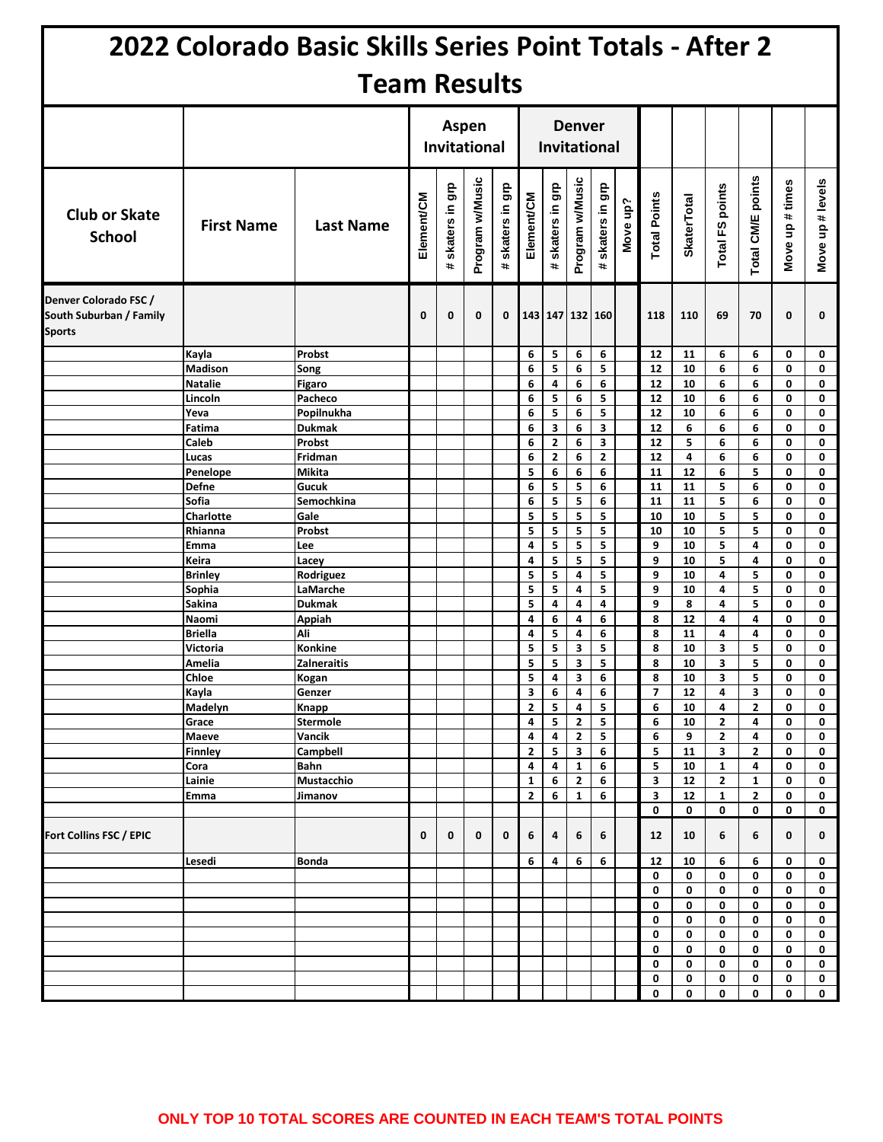|                                                                   |                           | 2022 Colorado Basic Skills Series Point Totals - After 2 |            |                              |                 |                                        |                              |                                        |                     |                                |          |                     |                    |                   |                   |                 |                  |
|-------------------------------------------------------------------|---------------------------|----------------------------------------------------------|------------|------------------------------|-----------------|----------------------------------------|------------------------------|----------------------------------------|---------------------|--------------------------------|----------|---------------------|--------------------|-------------------|-------------------|-----------------|------------------|
|                                                                   |                           | <b>Team Results</b>                                      |            |                              |                 |                                        |                              |                                        |                     |                                |          |                     |                    |                   |                   |                 |                  |
|                                                                   |                           |                                                          |            | Aspen<br><b>Invitational</b> |                 |                                        |                              | <b>Denver</b>                          | <b>Invitational</b> |                                |          |                     |                    |                   |                   |                 |                  |
| <b>Club or Skate</b><br><b>School</b>                             | <b>First Name</b>         | <b>Last Name</b>                                         | Element/CM | skaters in grp<br>÷.         | Program w/Music | skaters in grp<br>$\ddot{\phantom{a}}$ | Element/CM                   | skaters in grp<br>$\ddot{\phantom{a}}$ | Program w/Music     | grp<br>skaters in<br>$\ddot{}$ | Move up? | <b>Total Points</b> | <b>SkaterTotal</b> | Total FS points   | Total CM/E points | Move up # times | Move up # levels |
| Denver Colorado FSC /<br>South Suburban / Family<br><b>Sports</b> |                           |                                                          | 0          | 0                            | $\mathbf 0$     | 0                                      |                              | 143 147 132 160                        |                     |                                |          | 118                 | 110                | 69                | 70                | 0               | 0                |
|                                                                   | Kayla                     | Probst                                                   |            |                              |                 |                                        | 6                            | 5                                      | 6                   | 6                              |          | 12                  | 11                 | 6                 | 6                 | 0               | 0                |
|                                                                   | <b>Madison</b>            | Song                                                     |            |                              |                 |                                        | 6                            | 5                                      | 6                   | 5                              |          | 12                  | 10                 | 6                 | 6                 | 0               | 0                |
|                                                                   | <b>Natalie</b>            | <b>Figaro</b>                                            |            |                              |                 |                                        | 6                            | 4                                      | 6                   | 6                              |          | 12                  | 10                 | 6                 | 6                 | 0               | 0                |
|                                                                   | Lincoln<br>Yeva           | Pacheco<br>Popilnukha                                    |            |                              |                 |                                        | 6<br>6                       | 5<br>5                                 | 6<br>6              | 5<br>5                         |          | 12<br>12            | 10<br>10           | 6<br>6            | 6<br>6            | 0<br>0          | 0<br>$\mathbf 0$ |
|                                                                   | Fatima                    | <b>Dukmak</b>                                            |            |                              |                 |                                        | 6                            | 3                                      | 6                   | 3                              |          | 12                  | 6                  | 6                 | 6                 | 0               | 0                |
|                                                                   | Caleb                     | Probst                                                   |            |                              |                 |                                        | 6                            | $\overline{2}$                         | 6                   | 3                              |          | 12                  | 5                  | 6                 | 6                 | 0               | 0                |
|                                                                   | Lucas                     | Fridman                                                  |            |                              |                 |                                        | 6                            | $\mathbf{2}$                           | 6                   | $\mathbf{2}$                   |          | 12                  | 4                  | 6                 | 6                 | 0               | 0                |
|                                                                   | Penelope                  | Mikita                                                   |            |                              |                 |                                        | 5                            | 6                                      | 6                   | 6                              |          | 11                  | 12                 | 6                 | 5                 | 0               | 0                |
|                                                                   | Defne                     | Gucuk                                                    |            |                              |                 |                                        | 6                            | 5                                      | 5                   | 6                              |          | 11                  | 11                 | 5                 | 6                 | 0               | 0                |
|                                                                   | Sofia<br><b>Charlotte</b> | Semochkina<br>Gale                                       |            |                              |                 |                                        | 6<br>5                       | 5<br>5                                 | 5<br>5              | 6<br>5                         |          | 11<br>10            | 11<br>10           | 5<br>5            | 6<br>5            | 0<br>0          | 0<br>0           |
|                                                                   | Rhianna                   | Probst                                                   |            |                              |                 |                                        | 5                            | 5                                      | 5                   | 5                              |          | 10                  | 10                 | 5                 | 5                 | 0               | 0                |
|                                                                   | Emma                      | Lee                                                      |            |                              |                 |                                        | $\overline{\mathbf{4}}$      | 5                                      | 5                   | 5                              |          | 9                   | 10                 | 5                 | 4                 | 0               | 0                |
|                                                                   | Keira                     | Lacey                                                    |            |                              |                 |                                        | 4                            | 5                                      | 5                   | 5                              |          | 9                   | 10                 | 5                 | 4                 | 0               | $\mathbf 0$      |
|                                                                   | <b>Brinley</b>            | Rodriguez                                                |            |                              |                 |                                        | 5                            | 5                                      | 4                   | 5                              |          | 9                   | 10                 | 4                 | 5                 | 0               | 0                |
|                                                                   | Sophia                    | LaMarche                                                 |            |                              |                 |                                        | 5<br>5                       | 5                                      | 4                   | 5                              |          | 9                   | 10                 | 4                 | 5<br>5            | 0               | 0                |
|                                                                   | Sakina<br>Naomi           | <b>Dukmak</b><br>Appiah                                  |            |                              |                 |                                        | 4                            | 4<br>6                                 | 4<br>4              | 4<br>6                         |          | 9<br>8              | 8<br>12            | 4<br>4            | 4                 | 0<br>0          | 0<br>0           |
|                                                                   | <b>Briella</b>            | Ali                                                      |            |                              |                 |                                        | 4                            | 5                                      | 4                   | 6                              |          | 8                   | 11                 | 4                 | 4                 | 0               | 0                |
|                                                                   | Victoria                  | Konkine                                                  |            |                              |                 |                                        | 5                            | 5                                      | 3                   | 5                              |          | 8                   | 10                 | 3                 | 5                 | 0               | 0                |
|                                                                   | Amelia                    | <b>Zalneraitis</b>                                       |            |                              |                 |                                        | 5                            | 5                                      | 3                   | 5                              |          | 8                   | 10                 | 3                 | 5                 | 0               | 0                |
|                                                                   | Chloe                     | Kogan                                                    |            |                              |                 |                                        | 5                            | 4                                      | 3                   | 6                              |          | 8                   | 10                 | 3                 | 5                 | 0               | 0                |
|                                                                   | Kayla<br>Madelyn          | Genzer                                                   |            |                              |                 |                                        | 3<br>$\overline{\mathbf{2}}$ | 6<br>5                                 | 4<br>4              | 6<br>5                         |          | $\overline{7}$<br>6 | $12$<br>10         | 4<br>4            | 3<br>$\mathbf{2}$ | 0<br>0          | 0<br>0           |
|                                                                   | Grace                     | Knapp<br>Stermole                                        |            |                              |                 |                                        | 4                            | 5                                      | $\mathbf{2}$        | 5                              |          | 6                   | 10                 | $\mathbf{2}$      | 4                 | 0               | 0                |
|                                                                   | Maeve                     | Vancik                                                   |            |                              |                 |                                        | 4                            | 4                                      | $\mathbf{2}$        | 5                              |          | 6                   | 9                  | $\mathbf{2}$      | 4                 | 0               | 0                |
|                                                                   | Finnley                   | Campbell                                                 |            |                              |                 |                                        | $\mathbf{2}$                 | 5                                      | 3                   | 6                              |          | 5                   | ${\bf 11}$         | 3                 | $\mathbf{2}$      | 0               | 0                |
|                                                                   | Cora                      | Bahn                                                     |            |                              |                 |                                        | 4                            | 4                                      | $\mathbf{1}$        | 6                              |          | 5                   | 10                 | $\mathbf{1}$      | 4                 | 0               | 0                |
|                                                                   | Lainie                    | Mustacchio                                               |            |                              |                 |                                        | $\mathbf{1}$                 | 6                                      | $\mathbf{2}$        | 6                              |          | 3<br>3              | 12                 | $\mathbf{2}$      | 1                 | 0               | 0                |
|                                                                   | Emma                      | Jimanov                                                  |            |                              |                 |                                        | $\mathbf{2}$                 | 6                                      | 1                   | 6                              |          | 0                   | 12<br>0            | $\mathbf{1}$<br>0 | $\mathbf{2}$<br>0 | 0<br>0          | 0<br>0           |
| Fort Collins FSC / EPIC                                           |                           |                                                          | 0          | 0                            | 0               | 0                                      | 6                            | 4                                      | 6                   | 6                              |          | 12                  | 10                 | 6                 | 6                 | 0               | 0                |
|                                                                   | Lesedi                    | Bonda                                                    |            |                              |                 |                                        | 6                            | 4                                      | 6                   | 6                              |          | 12                  | 10                 | 6                 | 6                 | 0               | 0                |
|                                                                   |                           |                                                          |            |                              |                 |                                        |                              |                                        |                     |                                |          | 0                   | 0                  | 0                 | 0                 | 0               | 0                |
|                                                                   |                           |                                                          |            |                              |                 |                                        |                              |                                        |                     |                                |          | 0                   | 0                  | 0                 | 0                 | 0               | 0                |
|                                                                   |                           |                                                          |            |                              |                 |                                        |                              |                                        |                     |                                |          | 0<br>0              | 0<br>0             | 0<br>0            | 0<br>0            | 0<br>0          | 0<br>0           |
|                                                                   |                           |                                                          |            |                              |                 |                                        |                              |                                        |                     |                                |          | 0                   | 0                  | 0                 | 0                 | 0               | 0                |
|                                                                   |                           |                                                          |            |                              |                 |                                        |                              |                                        |                     |                                |          | 0                   | 0                  | 0                 | 0                 | 0               | 0                |
|                                                                   |                           |                                                          |            |                              |                 |                                        |                              |                                        |                     |                                |          | 0                   | 0                  | 0                 | 0                 | 0               | 0                |
|                                                                   |                           |                                                          |            |                              |                 |                                        |                              |                                        |                     |                                |          | 0                   | 0                  | 0                 | 0                 | 0               | 0                |
|                                                                   |                           |                                                          |            |                              |                 |                                        |                              |                                        |                     |                                |          | 0                   | 0                  | 0                 | 0                 | 0               | 0                |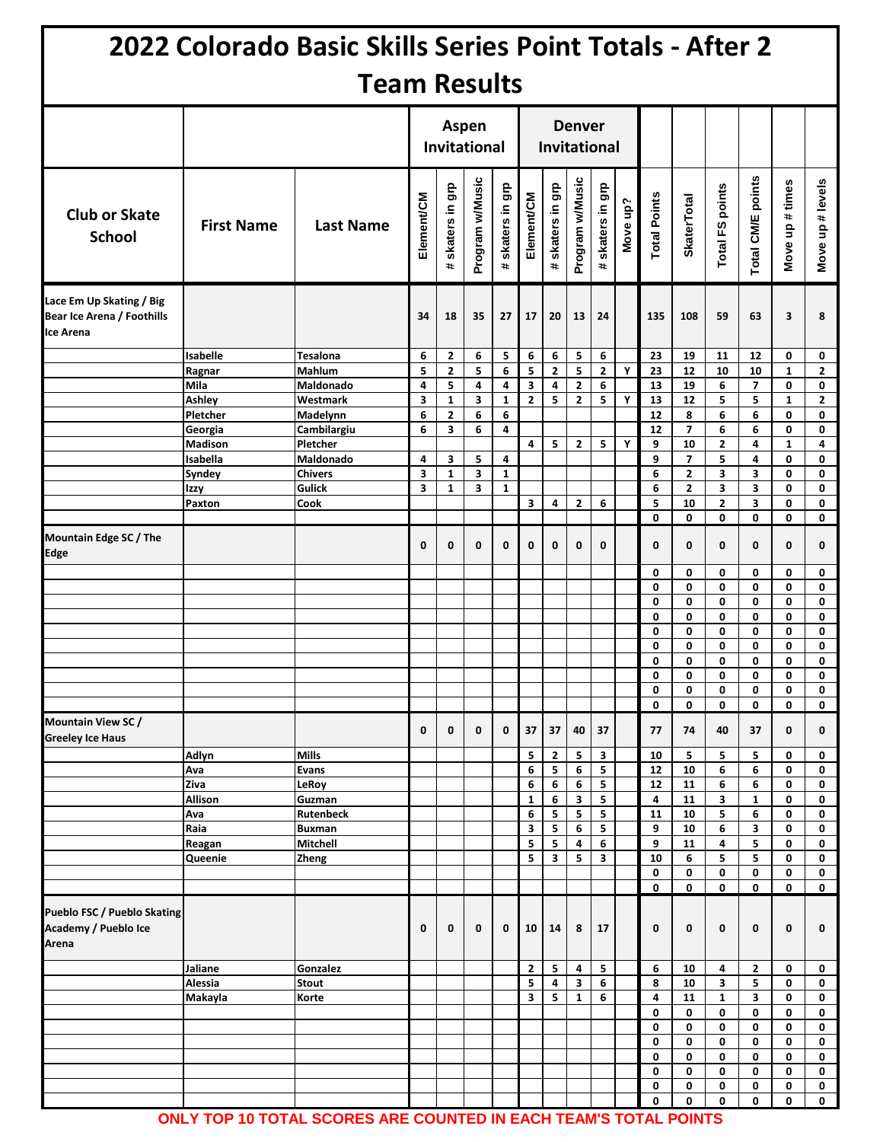|                                                                     |                                                                                                             | 2022 Colorado Basic Skills Series Point Totals - After 2                                                                    |                                           |                                                                                                               |                                           |                                                                            |                                                 |                                                 |                                               |                                      |             |                                                      |                                                                                                                  |                                                             |                                                                        |                                                                      |                                                                                    |
|---------------------------------------------------------------------|-------------------------------------------------------------------------------------------------------------|-----------------------------------------------------------------------------------------------------------------------------|-------------------------------------------|---------------------------------------------------------------------------------------------------------------|-------------------------------------------|----------------------------------------------------------------------------|-------------------------------------------------|-------------------------------------------------|-----------------------------------------------|--------------------------------------|-------------|------------------------------------------------------|------------------------------------------------------------------------------------------------------------------|-------------------------------------------------------------|------------------------------------------------------------------------|----------------------------------------------------------------------|------------------------------------------------------------------------------------|
|                                                                     |                                                                                                             | <b>Team Results</b>                                                                                                         |                                           |                                                                                                               |                                           |                                                                            |                                                 |                                                 |                                               |                                      |             |                                                      |                                                                                                                  |                                                             |                                                                        |                                                                      |                                                                                    |
|                                                                     |                                                                                                             |                                                                                                                             | Aspen<br><b>Invitational</b>              |                                                                                                               |                                           | <b>Denver</b><br><b>Invitational</b>                                       |                                                 |                                                 |                                               |                                      |             |                                                      |                                                                                                                  |                                                             |                                                                        |                                                                      |                                                                                    |
| <b>Club or Skate</b><br><b>School</b>                               | <b>First Name</b>                                                                                           | <b>Last Name</b>                                                                                                            | Element/CM                                | skaters in grp<br>$\pm$                                                                                       | Program w/Music                           | # skaters in grp                                                           | Element/CM                                      | skaters in grp<br>$\ddot{\phantom{1}}$          | Program w/Music                               | ទី<br>ត<br>skaters in<br>$\ddot{}$   | Move up?    | <b>Total Points</b>                                  | <b>SkaterTotal</b>                                                                                               | Total FS points                                             | Total CM/E points                                                      | Move up # times                                                      | Move up # levels                                                                   |
| Lace Em Up Skating / Big<br>Bear Ice Arena / Foothills<br>Ice Arena |                                                                                                             |                                                                                                                             | 34                                        | 18                                                                                                            | 35                                        | 27                                                                         | 17                                              | 20                                              | 13                                            | 24                                   |             | 135                                                  | 108                                                                                                              | 59                                                          | 63                                                                     | 3                                                                    | 8                                                                                  |
|                                                                     | Isabelle<br>Ragnar<br>Mila<br>Ashley<br>Pletcher<br>Georgia<br><b>Madison</b><br>Isabella<br>Syndey<br>Izzy | Tesalona<br>Mahlum<br>Maldonado<br>Westmark<br>Madelynn<br>Cambilargiu<br>Pletcher<br>Maldonado<br><b>Chivers</b><br>Gulick | 6<br>5<br>4<br>3<br>6<br>6<br>4<br>3<br>3 | $\mathbf{2}$<br>$\mathbf{2}$<br>5<br>$\mathbf{1}$<br>$\overline{2}$<br>3<br>3<br>$\mathbf{1}$<br>$\mathbf{1}$ | 6<br>5<br>4<br>3<br>6<br>6<br>5<br>3<br>3 | 5<br>6<br>4<br>$\mathbf{1}$<br>6<br>4<br>4<br>$\mathbf{1}$<br>$\mathbf{1}$ | 6<br>5<br>3<br>$\mathbf{2}$<br>4                | 6<br>$\mathbf{2}$<br>4<br>5<br>5                | 5<br>5<br>$\mathbf{2}$<br>2<br>$\overline{2}$ | 6<br>$\mathbf{2}$<br>6<br>5<br>5     | Υ<br>Y<br>Υ | 23<br>23<br>13<br>13<br>12<br>12<br>9<br>9<br>6<br>6 | 19<br>12<br>19<br>12<br>8<br>$\overline{7}$<br>10<br>$\overline{7}$<br>$\overline{\mathbf{2}}$<br>$\overline{2}$ | 11<br>10<br>6<br>5<br>6<br>6<br>$\mathbf{2}$<br>5<br>3<br>3 | 12<br>10<br>$\overline{\mathbf{z}}$<br>5<br>6<br>6<br>4<br>4<br>3<br>3 | 0<br>$\mathbf{1}$<br>0<br>$\mathbf{1}$<br>0<br>0<br>1<br>0<br>0<br>0 | 0<br>$\overline{2}$<br>0<br>$\overline{2}$<br>0<br>0<br>4<br>0<br>$\mathbf 0$<br>0 |
| Mountain Edge SC / The<br>Edge                                      | Paxton                                                                                                      | Cook                                                                                                                        | 0                                         | 0                                                                                                             | 0                                         | $\mathbf 0$                                                                | 3<br>0                                          | 4<br>0                                          | $\mathbf{2}$<br>0                             | 6<br>0                               |             | 5<br>0<br>$\mathbf 0$<br>0                           | 10<br>0<br>$\mathbf{0}$<br>0                                                                                     | $\mathbf{2}$<br>0<br>$\mathbf{0}$<br>0                      | 3<br>$\mathbf{0}$<br>$\mathbf{0}$<br>0                                 | 0<br>0<br>0<br>0                                                     | 0<br>0<br>0<br>0                                                                   |
|                                                                     |                                                                                                             |                                                                                                                             |                                           |                                                                                                               |                                           |                                                                            |                                                 |                                                 |                                               |                                      |             | 0<br>0<br>0<br>0<br>0<br>0<br>0<br>0                 | 0<br>0<br>0<br>0<br>0<br>0<br>0<br>0                                                                             | 0<br>0<br>0<br>0<br>0<br>0<br>0<br>0                        | 0<br>0<br>0<br>0<br>0<br>0<br>0<br>0                                   | 0<br>0<br>0<br>0<br>0<br>0<br>0<br>0                                 | 0<br>0<br>0<br>0<br>0<br>0<br>0<br>0                                               |
| <b>Mountain View SC/</b><br><b>Greeley Ice Haus</b>                 |                                                                                                             |                                                                                                                             | 0                                         | 0                                                                                                             | 0                                         | $\mathbf 0$                                                                | 37                                              | 37                                              | 40                                            | 37                                   |             | 0<br>77                                              | 0<br>74                                                                                                          | 0<br>40                                                     | 0<br>37                                                                | 0<br>0                                                               | 0<br>0                                                                             |
|                                                                     | Adlyn<br>Ava<br>Ziva<br>Allison<br>Ava<br>Raia<br>Reagan<br>Queenie                                         | <b>Mills</b><br><b>Evans</b><br>LeRoy<br>Guzman<br><b>Rutenbeck</b><br><b>Buxman</b><br>Mitchell<br><b>Zheng</b>            |                                           |                                                                                                               |                                           |                                                                            | 5<br>6<br>6<br>$\mathbf{1}$<br>6<br>3<br>5<br>5 | $\mathbf{2}$<br>5<br>6<br>6<br>5<br>5<br>5<br>3 | 5<br>6<br>6<br>3<br>5<br>6<br>4<br>5          | 3<br>5<br>5<br>5<br>5<br>5<br>6<br>3 |             | 10<br>12<br>12<br>4<br>11<br>9<br>9<br>10<br>0<br>0  | 5<br>10<br>11<br>11<br>10<br>10<br>11<br>6<br>0<br>0                                                             | 5<br>6<br>6<br>3<br>5<br>6<br>4<br>5<br>0<br>0              | 5<br>6<br>6<br>$\mathbf{1}$<br>6<br>3<br>5<br>5<br>0<br>0              | 0<br>0<br>0<br>0<br>0<br>0<br>0<br>0<br>0<br>0                       | 0<br>0<br>0<br>0<br>0<br>0<br>0<br>0<br>0<br>0                                     |
| <b>Pueblo FSC / Pueblo Skating</b><br>Academy / Pueblo Ice<br>Arena |                                                                                                             |                                                                                                                             | 0                                         | 0                                                                                                             | 0                                         | 0                                                                          | 10                                              | 14                                              | 8                                             | 17                                   |             | 0                                                    | 0                                                                                                                | 0                                                           | 0                                                                      | 0                                                                    | 0                                                                                  |
|                                                                     | Jaliane<br>Alessia<br>Makayla                                                                               | Gonzalez<br><b>Stout</b><br>Korte                                                                                           |                                           |                                                                                                               |                                           |                                                                            | $\mathbf{2}$<br>5<br>3                          | 5<br>4<br>5                                     | 4<br>3<br>$\mathbf{1}$                        | 5<br>6<br>6                          |             | 6<br>8<br>4<br>0<br>0                                | 10<br>10<br>11<br>0<br>0                                                                                         | 4<br>3<br>$\mathbf{1}$<br>0<br>0                            | $\overline{2}$<br>5<br>3<br>0<br>0                                     | 0<br>0<br>0<br>0<br>0                                                | 0<br>0<br>0<br>0<br>0                                                              |
|                                                                     |                                                                                                             |                                                                                                                             |                                           |                                                                                                               |                                           |                                                                            |                                                 |                                                 |                                               |                                      |             | 0<br>0<br>0<br>0<br>0                                | 0<br>0<br>0<br>0<br>0                                                                                            | 0<br>0<br>0<br>0<br>0                                       | 0<br>0<br>0<br>0<br>0                                                  | 0<br>0<br>0<br>0<br>0                                                | 0<br>0<br>0<br>0<br>0                                                              |

**ONLY TOP 10 TOTAL SCORES ARE COUNTED IN EACH TEAM'S TOTAL POINTS**